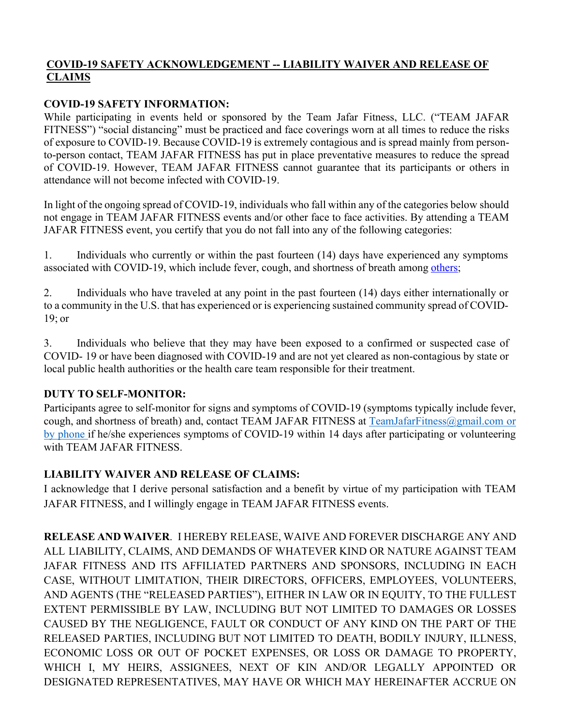## **COVID-19 SAFETY ACKNOWLEDGEMENT -- LIABILITY WAIVER AND RELEASE OF CLAIMS**

#### **COVID-19 SAFETY INFORMATION:**

While participating in events held or sponsored by the Team Jafar Fitness, LLC. ("TEAM JAFAR FITNESS") "social distancing" must be practiced and face coverings worn at all times to reduce the risks of exposure to COVID-19. Because COVID-19 is extremely contagious and is spread mainly from personto-person contact, TEAM JAFAR FITNESS has put in place preventative measures to reduce the spread of COVID-19. However, TEAM JAFAR FITNESS cannot guarantee that its participants or others in attendance will not become infected with COVID-19.

In light of the ongoing spread of COVID-19, individuals who fall within any of the categories below should not engage in TEAM JAFAR FITNESS events and/or other face to face activities. By attending a TEAM JAFAR FITNESS event, you certify that you do not fall into any of the following categories:

1. Individuals who currently or within the past fourteen (14) days have experienced any symptoms associated with COVID-19, which include fever, cough, and shortness of breath among others;

2. Individuals who have traveled at any point in the past fourteen (14) days either internationally or to a community in the U.S. that has experienced or is experiencing sustained community spread of COVID-19; or

3. Individuals who believe that they may have been exposed to a confirmed or suspected case of COVID- 19 or have been diagnosed with COVID-19 and are not yet cleared as non-contagious by state or local public health authorities or the health care team responsible for their treatment.

## **DUTY TO SELF-MONITOR:**

Participants agree to self-monitor for signs and symptoms of COVID-19 (symptoms typically include fever, cough, and shortness of breath) and, contact TEAM JAFAR FITNESS at TeamJafarFitness@gmail.com or by phone if he/she experiences symptoms of COVID-19 within 14 days after participating or volunteering with TEAM JAFAR FITNESS.

## **LIABILITY WAIVER AND RELEASE OF CLAIMS:**

I acknowledge that I derive personal satisfaction and a benefit by virtue of my participation with TEAM JAFAR FITNESS, and I willingly engage in TEAM JAFAR FITNESS events.

**RELEASE AND WAIVER**. I HEREBY RELEASE, WAIVE AND FOREVER DISCHARGE ANY AND ALL LIABILITY, CLAIMS, AND DEMANDS OF WHATEVER KIND OR NATURE AGAINST TEAM JAFAR FITNESS AND ITS AFFILIATED PARTNERS AND SPONSORS, INCLUDING IN EACH CASE, WITHOUT LIMITATION, THEIR DIRECTORS, OFFICERS, EMPLOYEES, VOLUNTEERS, AND AGENTS (THE "RELEASED PARTIES"), EITHER IN LAW OR IN EQUITY, TO THE FULLEST EXTENT PERMISSIBLE BY LAW, INCLUDING BUT NOT LIMITED TO DAMAGES OR LOSSES CAUSED BY THE NEGLIGENCE, FAULT OR CONDUCT OF ANY KIND ON THE PART OF THE RELEASED PARTIES, INCLUDING BUT NOT LIMITED TO DEATH, BODILY INJURY, ILLNESS, ECONOMIC LOSS OR OUT OF POCKET EXPENSES, OR LOSS OR DAMAGE TO PROPERTY, WHICH I, MY HEIRS, ASSIGNEES, NEXT OF KIN AND/OR LEGALLY APPOINTED OR DESIGNATED REPRESENTATIVES, MAY HAVE OR WHICH MAY HEREINAFTER ACCRUE ON